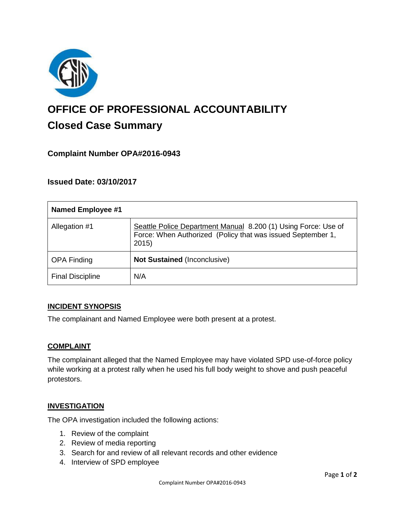

# **OFFICE OF PROFESSIONAL ACCOUNTABILITY Closed Case Summary**

# **Complaint Number OPA#2016-0943**

## **Issued Date: 03/10/2017**

| <b>Named Employee #1</b> |                                                                                                                                       |
|--------------------------|---------------------------------------------------------------------------------------------------------------------------------------|
| Allegation #1            | Seattle Police Department Manual 8.200 (1) Using Force: Use of<br>Force: When Authorized (Policy that was issued September 1,<br>2015 |
| <b>OPA Finding</b>       | <b>Not Sustained (Inconclusive)</b>                                                                                                   |
| <b>Final Discipline</b>  | N/A                                                                                                                                   |

#### **INCIDENT SYNOPSIS**

The complainant and Named Employee were both present at a protest.

#### **COMPLAINT**

The complainant alleged that the Named Employee may have violated SPD use-of-force policy while working at a protest rally when he used his full body weight to shove and push peaceful protestors.

#### **INVESTIGATION**

The OPA investigation included the following actions:

- 1. Review of the complaint
- 2. Review of media reporting
- 3. Search for and review of all relevant records and other evidence
- 4. Interview of SPD employee